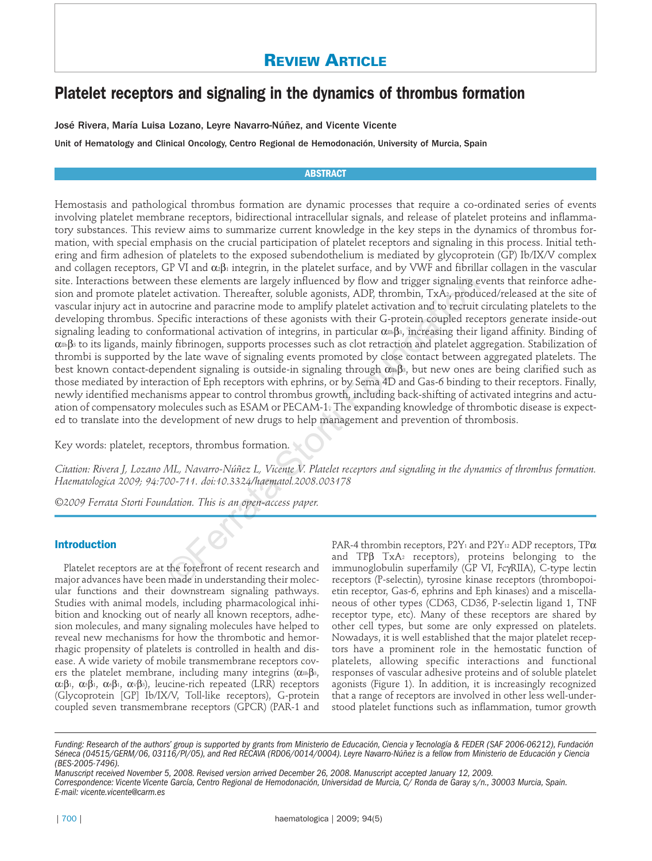# **REVIEW ARTICLE**

# **Platelet receptors and signaling in the dynamics of thrombus formation**

José Rivera, María Luisa Lozano, Leyre Navarro-Núñez, and Vicente Vicente

Unit of Hematology and Clinical Oncology, Centro Regional de Hemodonación, University of Murcia, Spain

## **ABSTRACT**

Hemostasis and pathological thrombus formation are dynamic processes that require a co-ordinated series of events involving platelet membrane receptors, bidirectional intracellular signals, and release of platelet proteins and inflammatory substances. This review aims to summarize current knowledge in the key steps in the dynamics of thrombus formation, with special emphasis on the crucial participation of platelet receptors and signaling in this process. Initial tethering and firm adhesion of platelets to the exposed subendothelium is mediated by glycoprotein (GP) Ib/IX/V complex and collagen receptors, GP VI and  $\alpha_2\beta_1$  integrin, in the platelet surface, and by VWF and fibrillar collagen in the vascular site. Interactions between these elements are largely influenced by flow and trigger signaling events that reinforce adhesion and promote platelet activation. Thereafter, soluble agonists, ADP, thrombin, TxA2, produced/released at the site of vascular injury act in autocrine and paracrine mode to amplify platelet activation and to recruit circulating platelets to the developing thrombus. Specific interactions of these agonists with their G-protein coupled receptors generate inside-out signaling leading to conformational activation of integrins, in particular  $\alpha_{\rm I}$ <sub>8</sub>, increasing their ligand affinity. Binding of α<sup>π</sup>β<sub>3</sub> to its ligands, mainly fibrinogen, supports processes such as clot retraction and platelet aggregation. Stabilization of thrombi is supported by the late wave of signaling events promoted by close contact between aggregated platelets. The best known contact-dependent signaling is outside-in signaling through  $\alpha_{\text{I}i}$ , but new ones are being clarified such as those mediated by interaction of Eph receptors with ephrins, or by Sema 4D and Gas-6 binding to their receptors. Finally, newly identified mechanisms appear to control thrombus growth, including back-shifting of activated integrins and actuation of compensatory molecules such as ESAM or PECAM-1. The expanding knowledge of thrombotic disease is expected to translate into the development of new drugs to help management and prevention of thrombosis. n these elements are largely influenced by flow and trigger signaling exert activation. Thereafter, soluble agonists, ADP, thrombin, TxA<sub>3</sub>, production and paracrime node roamlify platelet activation and to recruit socia

Key words: platelet, receptors, thrombus formation.

*Citation: Rivera J, Lozano ML, Navarro-Núñez L, Vicente V. Platelet receptors and signaling in the dynamics of thrombus formation. Haematologica 2009; 94:700-711. doi:10.3324/haematol.2008.003178*

*©2009 Ferrata Storti Foundation. This is an open-access paper.* 

## **Introduction**

Platelet receptors are at the forefront of recent research and major advances have been made in understanding their molecular functions and their downstream signaling pathways. Studies with animal models, including pharmacological inhibition and knocking out of nearly all known receptors, adhesion molecules, and many signaling molecules have helped to reveal new mechanisms for how the thrombotic and hemorrhagic propensity of platelets is controlled in health and disease. A wide variety of mobile transmembrane receptors covers the platelet membrane, including many integrins ( $\alpha \in B_3$ , α $2\beta_1$ , α $5\beta_1$ , α $6\beta_1$ , α $v\beta_3$ ), leucine-rich repeated (LRR) receptors (Glycoprotein [GP] Ib/IX/V, Toll-like receptors), G-protein coupled seven transmembrane receptors (GPCR) (PAR-1 and

PAR-4 thrombin receptors, P2Y1 and P2Y12 ADP receptors, TPα and TPβ TxA2 receptors), proteins belonging to the immunoglobulin superfamily (GP VI, FcγRIIA), C-type lectin receptors (P-selectin), tyrosine kinase receptors (thrombopoietin receptor, Gas-6, ephrins and Eph kinases) and a miscellaneous of other types (CD63, CD36, P-selectin ligand 1, TNF receptor type, etc). Many of these receptors are shared by other cell types, but some are only expressed on platelets. Nowadays, it is well established that the major platelet receptors have a prominent role in the hemostatic function of platelets, allowing specific interactions and functional responses of vascular adhesive proteins and of soluble platelet agonists (Figure 1). In addition, it is increasingly recognized that a range of receptors are involved in other less well-understood platelet functions such as inflammation, tumor growth

*Manuscript received November 5, 2008. Revised version arrived December 26, 2008. Manuscript accepted January 12, 2009. Correspondence: Vicente Vicente García, Centro Regional de Hemodonación, Universidad de Murcia, C/ Ronda de Garay s/n., 30003 Murcia, Spain.*

*E-mail: vicente.vicente@carm.es*

*Funding: Research of the authors' group is supported by grants from Ministerio de Educación, Ciencia y Tecnología & FEDER (SAF 2006-06212), Fundación Séneca (04515/GERM/06, 03116/PI/05), and Red RECAVA (RD06/0014/0004). Leyre Navarro-Núñez is a fellow from Ministerio de Educación y Ciencia (BES-2005-7496).*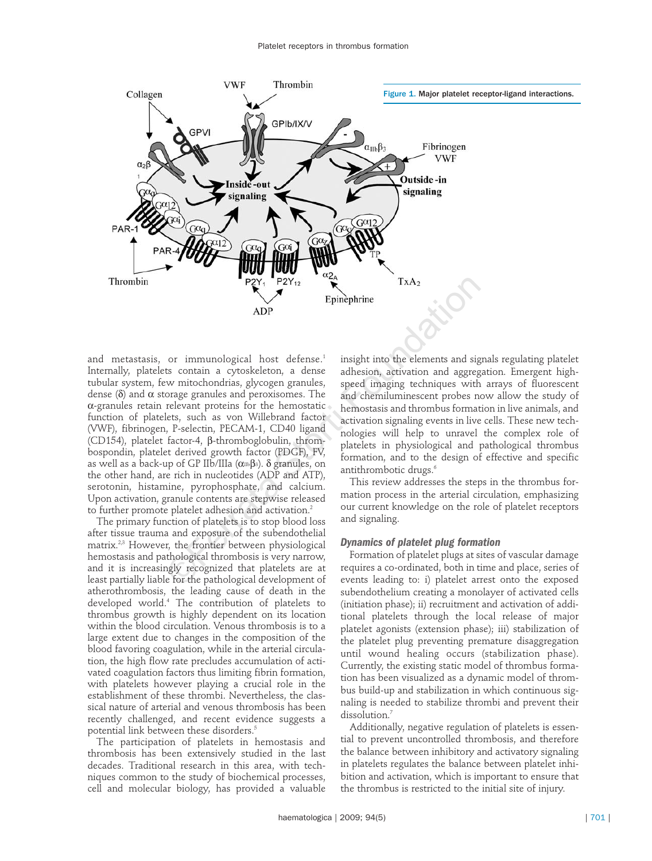

and metastasis, or immunological host defense.<sup>1</sup> Internally, platelets contain a cytoskeleton, a dense tubular system, few mitochondrias, glycogen granules, dense (δ) and α storage granules and peroxisomes. The α-granules retain relevant proteins for the hemostatic function of platelets, such as von Willebrand factor (VWF), fibrinogen, P-selectin, PECAM-1, CD40 ligand (CD154), platelet factor-4, β-thromboglobulin, thrombospondin, platelet derived growth factor (PDGF), FV, as well as a back-up of GP IIb/IIIa ( $\alpha$ πιβ3). δ granules, on the other hand, are rich in nucleotides (ADP and ATP), serotonin, histamine, pyrophosphate, and calcium. Upon activation, granule contents are stepwise released to further promote platelet adhesion and activation.<sup>2</sup> P2Y<sub>1</sub> P2Y<sub>12</sub> Epinephrine TxA<sub>2</sub><br>
Epinephrine ADP<br>
Superbirith into the elements and signals to the streament and signals of the streament and approximately<br>
Stortin a cytoskeleton, a dense adhesion, activation and aggre

The primary function of platelets is to stop blood loss after tissue trauma and exposure of the subendothelial matrix.2,3 However, the frontier between physiological hemostasis and pathological thrombosis is very narrow, and it is increasingly recognized that platelets are at least partially liable for the pathological development of atherothrombosis, the leading cause of death in the developed world.4 The contribution of platelets to thrombus growth is highly dependent on its location within the blood circulation. Venous thrombosis is to a large extent due to changes in the composition of the blood favoring coagulation, while in the arterial circulation, the high flow rate precludes accumulation of activated coagulation factors thus limiting fibrin formation, with platelets however playing a crucial role in the establishment of these thrombi. Nevertheless, the classical nature of arterial and venous thrombosis has been recently challenged, and recent evidence suggests a potential link between these disorders.5

The participation of platelets in hemostasis and thrombosis has been extensively studied in the last decades. Traditional research in this area, with techniques common to the study of biochemical processes, cell and molecular biology, has provided a valuable

insight into the elements and signals regulating platelet adhesion, activation and aggregation. Emergent highspeed imaging techniques with arrays of fluorescent and chemiluminescent probes now allow the study of hemostasis and thrombus formation in live animals, and activation signaling events in live cells. These new technologies will help to unravel the complex role of platelets in physiological and pathological thrombus formation, and to the design of effective and specific antithrombotic drugs.<sup>6</sup>

This review addresses the steps in the thrombus formation process in the arterial circulation, emphasizing our current knowledge on the role of platelet receptors and signaling.

#### *Dynamics of platelet plug formation*

Formation of platelet plugs at sites of vascular damage requires a co-ordinated, both in time and place, series of events leading to: i) platelet arrest onto the exposed subendothelium creating a monolayer of activated cells (initiation phase); ii) recruitment and activation of additional platelets through the local release of major platelet agonists (extension phase); iii) stabilization of the platelet plug preventing premature disaggregation until wound healing occurs (stabilization phase). Currently, the existing static model of thrombus formation has been visualized as a dynamic model of thrombus build-up and stabilization in which continuous signaling is needed to stabilize thrombi and prevent their dissolution.<sup>7</sup>

Additionally, negative regulation of platelets is essential to prevent uncontrolled thrombosis, and therefore the balance between inhibitory and activatory signaling in platelets regulates the balance between platelet inhibition and activation, which is important to ensure that the thrombus is restricted to the initial site of injury.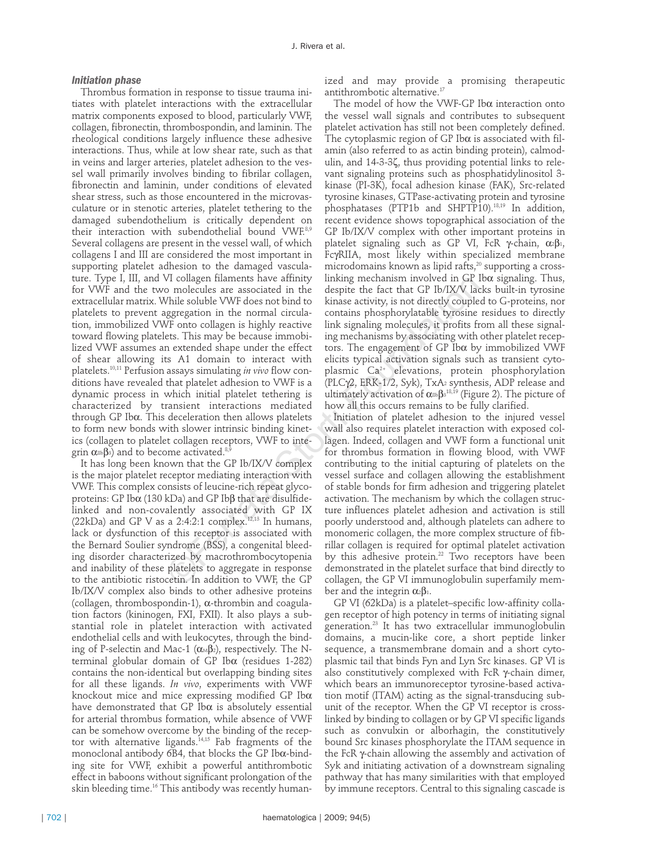#### *Initiation phase*

Thrombus formation in response to tissue trauma initiates with platelet interactions with the extracellular matrix components exposed to blood, particularly VWF, collagen, fibronectin, thrombospondin, and laminin. The rheological conditions largely influence these adhesive interactions. Thus, while at low shear rate, such as that in veins and larger arteries, platelet adhesion to the vessel wall primarily involves binding to fibrilar collagen, fibronectin and laminin, under conditions of elevated shear stress, such as those encountered in the microvasculature or in stenotic arteries, platelet tethering to the damaged subendothelium is critically dependent on their interaction with subendothelial bound VWF.8,9 Several collagens are present in the vessel wall, of which collagens I and III are considered the most important in supporting platelet adhesion to the damaged vasculature. Type I, III, and VI collagen filaments have affinity for VWF and the two molecules are associated in the extracellular matrix. While soluble VWF does not bind to platelets to prevent aggregation in the normal circulation, immobilized VWF onto collagen is highly reactive toward flowing platelets. This may be because immobilized VWF assumes an extended shape under the effect of shear allowing its A1 domain to interact with platelets.10,11 Perfusion assays simulating *in vivo* flow conditions have revealed that platelet adhesion to VWF is a dynamic process in which initial platelet tethering is characterized by transient interactions mediated through GP Ibα. This deceleration then allows platelets to form new bonds with slower intrinsic binding kinetics (collagen to platelet collagen receptors, VWF to integrin  $\alpha \text{th} \beta$ 3) and to become activated.<sup>8,9</sup>

It has long been known that the GP Ib/IX/V complex is the major platelet receptor mediating interaction with VWF. This complex consists of leucine-rich repeat glycoproteins: GP Ibα (130 kDa) and GP Ibβ that are disulfidelinked and non-covalently associated with GP IX (22kDa) and GP V as a 2:4:2:1 complex.<sup>12,13</sup> In humans, lack or dysfunction of this receptor is associated with the Bernard Soulier syndrome (BSS), a congenital bleeding disorder characterized by macrothrombocytopenia and inability of these platelets to aggregate in response to the antibiotic ristocetin. In addition to VWF, the GP Ib/IX/V complex also binds to other adhesive proteins (collagen, thrombospondin-1), α-thrombin and coagulation factors (kininogen, FXI, FXII). It also plays a substantial role in platelet interaction with activated endothelial cells and with leukocytes, through the binding of P-selectin and Mac-1 ( $\alpha \triangleleft \beta$ 2), respectively. The Nterminal globular domain of GP Ibα (residues 1-282) contains the non-identical but overlapping binding sites for all these ligands. *In vivo*, experiments with VWF knockout mice and mice expressing modified GP Ibα have demonstrated that GP Ibα is absolutely essential for arterial thrombus formation, while absence of VWF can be somehow overcome by the binding of the receptor with alternative ligands.<sup>14,15</sup> Fab fragments of the monoclonal antibody 6B4, that blocks the GP Ibα-binding site for VWF, exhibit a powerful antithrombotic effect in baboons without significant prolongation of the skin bleeding time.<sup>16</sup> This antibody was recently humanized and may provide a promising therapeutic antithrombotic alternative.17

The model of how the VWF-GP Ibα interaction onto the vessel wall signals and contributes to subsequent platelet activation has still not been completely defined. The cytoplasmic region of GP Ibα is associated with filamin (also referred to as actin binding protein), calmodulin, and 14-3-3ζ, thus providing potential links to relevant signaling proteins such as phosphatidylinositol 3 kinase (PI-3K), focal adhesion kinase (FAK), Src-related tyrosine kinases, GTPase-activating protein and tyrosine phosphatases (PTP1b and SHPTP10).18,19 In addition, recent evidence shows topographical association of the GP Ib/IX/V complex with other important proteins in platelet signaling such as GP VI, FcR γ-chain,  $α_2β_1$ , FcγRIIA, most likely within specialized membrane microdomains known as lipid rafts, $20$  supporting a crosslinking mechanism involved in  $GP$  Ib $\alpha$  signaling. Thus, despite the fact that GP Ib/IX/V lacks built-in tyrosine kinase activity, is not directly coupled to G-proteins, nor contains phosphorylatable tyrosine residues to directly link signaling molecules, it profits from all these signaling mechanisms by associating with other platelet receptors. The engagement of GP Ibα by immobilized VWF elicits typical activation signals such as transient cytoplasmic Ca2+ elevations, protein phosphorylation (PLCγ2, ERK-1/2, Syk), TxA2 synthesis, ADP release and ultimately activation of αmβ3 $^{18,19}$  (Figure 2). The picture of how all this occurs remains to be fully clarified.

Initiation of platelet adhesion to the injured vessel wall also requires platelet interaction with exposed collagen. Indeed, collagen and VWF form a functional unit for thrombus formation in flowing blood, with VWF contributing to the initial capturing of platelets on the vessel surface and collagen allowing the establishment of stable bonds for firm adhesion and triggering platelet activation. The mechanism by which the collagen structure influences platelet adhesion and activation is still poorly understood and, although platelets can adhere to monomeric collagen, the more complex structure of fibrillar collagen is required for optimal platelet activation by this adhesive protein.<sup>22</sup> Two receptors have been demonstrated in the platelet surface that bind directly to collagen, the GP VI immunoglobulin superfamily member and the integrin  $\alpha_2\beta_1$ . VI coluge nuaments have attrintig in<br>King enconsism involved in GP to molecules are associated in the despite the fact that GP Ib/IX/V lace<br>Shirle soluble VWF does not bind to kinase activity, is not directly coupled<br>ggre

> GP VI (62kDa) is a platelet–specific low-affinity collagen receptor of high potency in terms of initiating signal generation.23 It has two extracellular immunoglobulin domains, a mucin-like core, a short peptide linker sequence, a transmembrane domain and a short cytoplasmic tail that binds Fyn and Lyn Src kinases. GP VI is also constitutively complexed with FcR γ-chain dimer, which bears an immunoreceptor tyrosine-based activation motif (ITAM) acting as the signal-transducing subunit of the receptor. When the GP VI receptor is crosslinked by binding to collagen or by GP VI specific ligands such as convulxin or alborhagin, the constitutively bound Src kinases phosphorylate the ITAM sequence in the FcR γ-chain allowing the assembly and activation of Syk and initiating activation of a downstream signaling pathway that has many similarities with that employed by immune receptors. Central to this signaling cascade is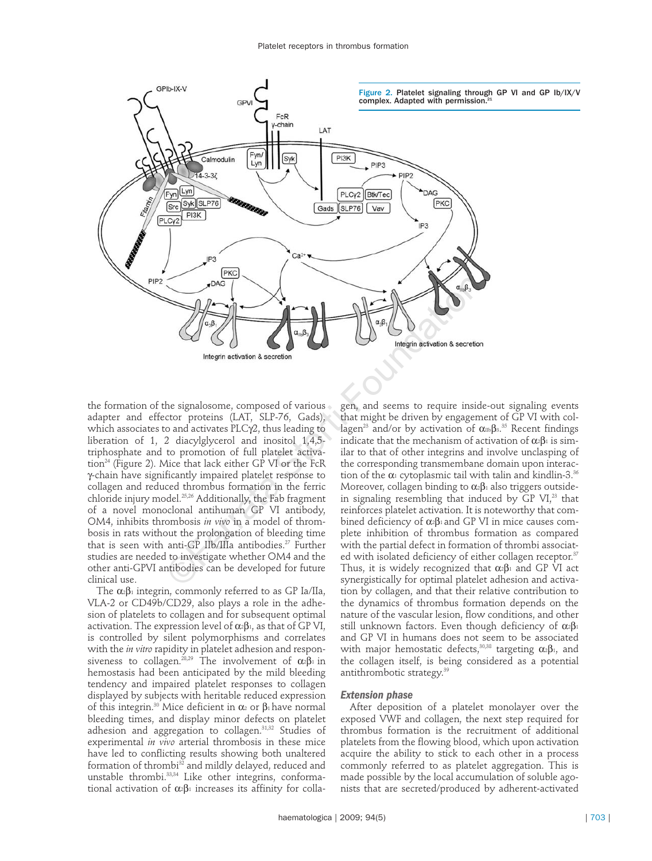

the formation of the signalosome, composed of various adapter and effector proteins (LAT, SLP-76, Gads), which associates to and activates PLCγ2, thus leading to liberation of 1, 2 diacylglycerol and inositol 1,4,5 triphosphate and to promotion of full platelet activation<sup>24</sup> (Figure 2). Mice that lack either GP VI or the FcR γ-chain have significantly impaired platelet response to collagen and reduced thrombus formation in the ferric chloride injury model.25,26 Additionally, the Fab fragment of a novel monoclonal antihuman GP VI antibody, OM4, inhibits thrombosis *in vivo* in a model of thrombosis in rats without the prolongation of bleeding time that is seen with anti-GP IIb/IIIa antibodies.<sup>27</sup> Further studies are needed to investigate whether OM4 and the other anti-GPVI antibodies can be developed for future clinical use.

The  $\alpha_2\beta_1$  integrin, commonly referred to as GP Ia/IIa, VLA-2 or CD49b/CD29, also plays a role in the adhesion of platelets to collagen and for subsequent optimal activation. The expression level of  $\alpha$ <sup>2</sup>β<sub>1</sub>, as that of GP VI, is controlled by silent polymorphisms and correlates with the *in vitro* rapidity in platelet adhesion and responsiveness to collagen.<sup>28,29</sup> The involvement of  $\alpha_2 \beta_1$  in hemostasis had been anticipated by the mild bleeding tendency and impaired platelet responses to collagen displayed by subjects with heritable reduced expression of this integrin.<sup>30</sup> Mice deficient in  $\alpha$ <sup>2</sup> or β<sup>1</sup> have normal bleeding times, and display minor defects on platelet adhesion and aggregation to collagen.<sup>31,32</sup> Studies of experimental *in vivo* arterial thrombosis in these mice have led to conflicting results showing both unaltered formation of thrombi<sup>32</sup> and mildly delayed, reduced and unstable thrombi.<sup>33,34</sup> Like other integrins, conformational activation of  $α_2β_1$  increases its affinity for colla-

gen, and seems to require inside-out signaling events that might be driven by engagement of GP VI with collagen $^{23}$  and/or by activation of  $\alpha$ 116 $\beta$ 3. $^{35}$  Recent findings indicate that the mechanism of activation of  $\alpha_2\beta_1$  is similar to that of other integrins and involve unclasping of the corresponding transmembane domain upon interaction of the  $\alpha_1$  cytoplasmic tail with talin and kindlin-3.<sup>36</sup> Moreover, collagen binding to  $\alpha_2\beta_1$  also triggers outsidein signaling resembling that induced by GP  $VI<sub>1</sub><sup>23</sup>$  that reinforces platelet activation. It is noteworthy that combined deficiency of  $\alpha$ <sup>2</sup>β<sup>1</sup> and GP VI in mice causes complete inhibition of thrombus formation as compared with the partial defect in formation of thrombi associated with isolated deficiency of either collagen receptor.<sup>37</sup> Thus, it is widely recognized that  $\alpha_2\beta_1$  and GP VI act synergistically for optimal platelet adhesion and activation by collagen, and that their relative contribution to the dynamics of thrombus formation depends on the nature of the vascular lesion, flow conditions, and other still unknown factors. Even though deficiency of  $\alpha_2\beta_1$ and GP VI in humans does not seem to be associated with major hemostatic defects,<sup>30,38</sup> targeting  $\alpha_2\beta_1$ , and the collagen itself, is being considered as a potential antithrombotic strategy. 39

### *Extension phase*

After deposition of a platelet monolayer over the exposed VWF and collagen, the next step required for thrombus formation is the recruitment of additional platelets from the flowing blood, which upon activation acquire the ability to stick to each other in a process commonly referred to as platelet aggregation. This is made possible by the local accumulation of soluble agonists that are secreted/produced by adherent-activated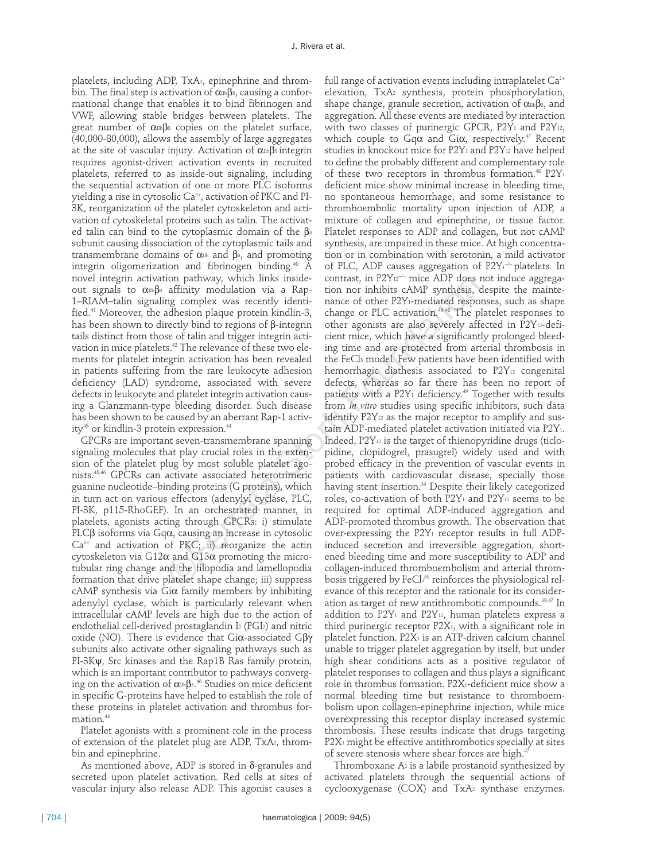platelets, including ADP, TxA2, epinephrine and throm $bin.$  The final step is activation of  $α<sub>IIb</sub>β<sub>3</sub>$ , causing a conformational change that enables it to bind fibrinogen and VWF, allowing stable bridges between platelets. The great number of  $\alpha_{\text{III}}\beta_3$  copies on the platelet surface, (40,000-80,000), allows the assembly of large aggregates at the site of vascular injury. Activation of  $\alpha_{\text{m}}\beta_3$  integrin requires agonist-driven activation events in recruited platelets, referred to as inside-out signaling, including the sequential activation of one or more PLC isoforms yielding a rise in cytosolic Ca<sup>2+</sup>, activation of PKC and PI-3K, reorganization of the platelet cytoskeleton and activation of cytoskeletal proteins such as talin. The activated talin can bind to the cytoplasmic domain of the  $\beta$ <sup>3</sup> subunit causing dissociation of the cytoplasmic tails and transmembrane domains of  $α$ <sub>IIb</sub> and  $β$ <sub>3</sub>, and promoting integrin oligomerization and fibrinogen binding.40 A novel integrin activation pathway, which links insideout signals to  $\alpha_{\text{II}b}$ B<sub>3</sub> affinity modulation via a Rap-1–RIAM–talin signaling complex was recently identified.41 Moreover, the adhesion plaque protein kindlin-3, has been shown to directly bind to regions of β-integrin tails distinct from those of talin and trigger integrin activation in mice platelets.<sup>42</sup> The relevance of these two elements for platelet integrin activation has been revealed in patients suffering from the rare leukocyte adhesion deficiency (LAD) syndrome, associated with severe defects in leukocyte and platelet integrin activation causing a Glanzmann-type bleeding disorder. Such disease has been shown to be caused by an aberrant Rap-1 activity<sup>43</sup> or kindlin-3 protein expression.<sup>44</sup>

GPCRs are important seven-transmembrane spanning signaling molecules that play crucial roles in the extension of the platelet plug by most soluble platelet agonists.45,46 GPCRs can activate associated heterotrimeric guanine nucleotide–binding proteins (G proteins), which in turn act on various effectors (adenylyl cyclase, PLC, PI-3K, p115-RhoGEF). In an orchestrated manner, in platelets, agonists acting through GPCRs: i) stimulate PLCβ isoforms via Gqα, causing an increase in cytosolic  $Ca^{2+}$  and activation of PKC; ii) reorganize the actin cytoskeleton via G12α and G13α promoting the microtubular ring change and the filopodia and lamellopodia formation that drive platelet shape change; iii) suppress cAMP synthesis via Giα family members by inhibiting adenylyl cyclase, which is particularly relevant when intracellular cAMP levels are high due to the action of endothelial cell-derived prostaglandin I2 (PGI2) and nitric oxide (NO). There is evidence that Giα-associated Gβγ subunits also activate other signaling pathways such as PI-3Kψ, Src kinases and the Rap1B Ras family protein, which is an important contributor to pathways converging on the activation of αmβ3. $^{46}$  Studies on mice deficient in specific G-proteins have helped to establish the role of these proteins in platelet activation and thrombus formation.<sup>46</sup>

Platelet agonists with a prominent role in the process of extension of the platelet plug are ADP, TxA2, thrombin and epinephrine.

As mentioned above, ADP is stored in δ-granules and secreted upon platelet activation. Red cells at sites of vascular injury also release ADP. This agonist causes a

full range of activation events including intraplatelet  $Ca^{2+}$ elevation, TxA2 synthesis, protein phosphorylation, shape change, granule secretion, activation of  $\alpha \text{m} \beta$ <sup>3</sup>, and aggregation. All these events are mediated by interaction with two classes of purinergic GPCR, P2Y<sub>1</sub> and P2Y<sub>12</sub>, which couple to  $Gq\alpha$  and  $Gi\alpha$ , respectively.<sup>47</sup> Recent studies in knockout mice for P2Y1 and P2Y12 have helped to define the probably different and complementary role of these two receptors in thrombus formation.<sup>48</sup>  $P2Y_1$ deficient mice show minimal increase in bleeding time, no spontaneous hemorrhage, and some resistance to thromboembolic mortality upon injection of ADP, a mixture of collagen and epinephrine, or tissue factor. Platelet responses to ADP and collagen, but not cAMP synthesis, are impaired in these mice. At high concentration or in combination with serotonin, a mild activator of PLC, ADP causes aggregation of P2Y1<sup>-/-</sup>platelets. In contrast, in P2Y12<sup>−</sup>/<sup>−</sup> mice ADP does not induce aggregation nor inhibits cAMP synthesis, despite the maintenance of other P2Y<sub>1</sub>-mediated responses, such as shape change or PLC activation.<sup>46-48</sup> The platelet responses to other agonists are also severely affected in P2Y12-deficient mice, which have a significantly prolonged bleeding time and are protected from arterial thrombosis in the FeCl3 model. Few patients have been identified with hemorrhagic diathesis associated to P2Y12 congenital defects, whereas so far there has been no report of patients with a P2Y1 deficiency. <sup>49</sup> Together with results from *in vitro* studies using specific inhibitors, such data identify P2Y<sup>12</sup> as the major receptor to amplify and sustain ADP-mediated platelet activation initiated via P2Y1. Indeed, P2Y12 is the target of thienopyridine drugs (ticlopidine, clopidogrel, prasugrel) widely used and with probed efficacy in the prevention of vascular events in patients with cardiovascular disease, specially those having stent insertion.<sup>39</sup> Despite their likely categorized roles, co-activation of both P2Y<sub>1</sub> and P2Y<sub>12</sub> seems to be required for optimal ADP-induced aggregation and ADP-promoted thrombus growth. The observation that over-expressing the  $P2Y_1$  receptor results in full ADPinduced secretion and irreversible aggregation, shortened bleeding time and more susceptibility to ADP and collagen-induced thromboembolism and arterial thrombosis triggered by FeCl $\rm s^{50}$  reinforces the physiological relevance of this receptor and the rationale for its consideration as target of new antithrombotic compounds.39,47 In addition to  $P2Y_1$  and  $P2Y_{12}$ , human platelets express a third purinergic receptor P2X1, with a significant role in platelet function. P2X<sub>1</sub> is an ATP-driven calcium channel unable to trigger platelet aggregation by itself, but under high shear conditions acts as a positive regulator of platelet responses to collagen and thus plays a significant role in thrombus formation. P2X1-deficient mice show a normal bleeding time but resistance to thromboembolism upon collagen-epinephrine injection, while mice overexpressing this receptor display increased systemic thrombosis. These results indicate that drugs targeting P2X<sub>1</sub> might be effective antithrombotics specially at sites of severe stenosis where shear forces are high.<sup>47</sup> non pathway, which links inside<br>
a affinity modulation via a Rap-<br>
contrast, in P2V<sup>12</sup><sup>11</sup> mec ADP does<br>
a affinity modulation via a Rap-<br>
tion nor inhibits cAMP synthesis,<br>
ang complex was recently identi-<br>
nance of oth

> Thromboxane  $A_2$  is a labile prostanoid synthesized by activated platelets through the sequential actions of cyclooxygenase (COX) and TxA2 synthase enzymes.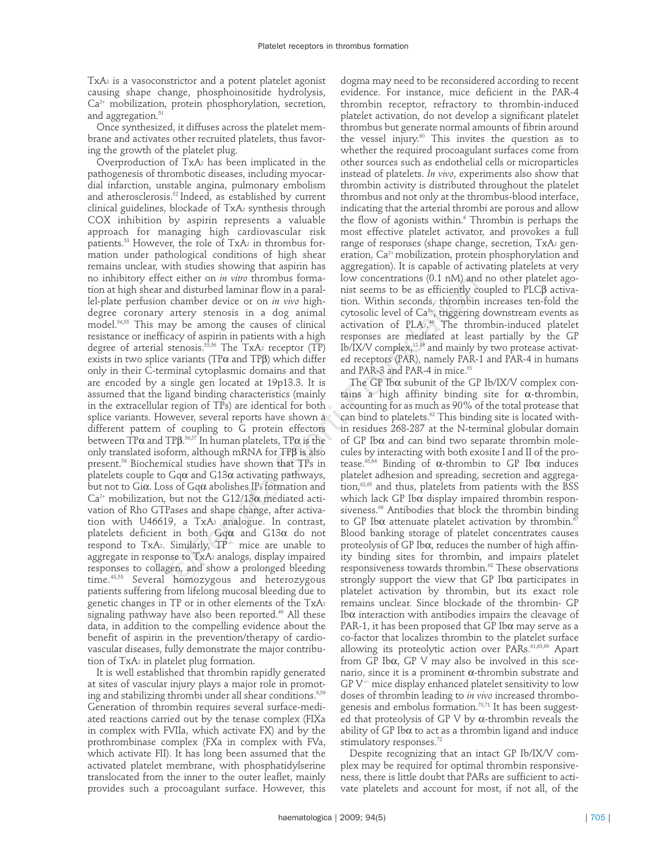TxA2 is a vasoconstrictor and a potent platelet agonist causing shape change, phosphoinositide hydrolysis, Ca<sup>2+</sup> mobilization, protein phosphorylation, secretion, and aggregation.<sup>51</sup>

Once synthesized, it diffuses across the platelet membrane and activates other recruited platelets, thus favoring the growth of the platelet plug.

Overproduction of TxA2 has been implicated in the pathogenesis of thrombotic diseases, including myocardial infarction, unstable angina, pulmonary embolism and atherosclerosis.<sup>52</sup> Indeed, as established by current clinical guidelines, blockade of TxA2 synthesis through COX inhibition by aspirin represents a valuable approach for managing high cardiovascular risk patients.<sup>53</sup> However, the role of  $TxA<sub>2</sub>$  in thrombus formation under pathological conditions of high shear remains unclear, with studies showing that aspirin has no inhibitory effect either on *in vitro* thrombus formation at high shear and disturbed laminar flow in a parallel-plate perfusion chamber device or on *in vivo* highdegree coronary artery stenosis in a dog animal model.54,55 This may be among the causes of clinical resistance or inefficacy of aspirin in patients with a high degree of arterial stenosis.<sup>53,56</sup> The TxA<sub>2</sub> receptor (TP) exists in two splice variants (TPα and TPβ) which differ only in their C-terminal cytoplasmic domains and that are encoded by a single gen located at 19p13.3. It is assumed that the ligand binding characteristics (mainly in the extracellular region of TPs) are identical for both splice variants. However, several reports have shown a different pattern of coupling to G protein effectors between TP $\alpha$  and TP $\beta$ . $^{56,57}$  In human platelets, TP $\alpha$  is the only translated isoform, although mRNA for TPβ is also present.56 Biochemical studies have shown that TPs in platelets couple to  $Gq\alpha$  and  $G13\alpha$  activating pathways, but not to Gi $\alpha$ . Loss of Gq $\alpha$  abolishes IP<sub>3</sub> formation and  $Ca^{2+}$  mobilization, but not the G12/13 $\alpha$  mediated activation of Rho GTPases and shape change, after activation with U46619, a TxA<sub>2</sub> analogue. In contrast, platelets deficient in both Gqα and G13α do not respond to  $TxA<sub>2</sub>$ . Similarly,  $TP<sup>2</sup>$  mice are unable to aggregate in response to TxA2 analogs, display impaired responses to collagen, and show a prolonged bleeding time.48,58 Several homozygous and heterozygous patients suffering from lifelong mucosal bleeding due to genetic changes in TP or in other elements of the TxA2 signaling pathway have also been reported.<sup>49</sup> All these data, in addition to the compelling evidence about the benefit of aspirin in the prevention/therapy of cardiovascular diseases, fully demonstrate the major contribution of TxA<sub>2</sub> in platelet plug formation. c et etter on *m vine* thromous format low concentrations (0.1 nM) and<br>and disturbed laminar low in a paral-<br>ints seems to be as efficiently ce<br>canneler device or on *in vivo* high-<br>tion. Within seconds, thrombin<br>artery s

It is well established that thrombin rapidly generated at sites of vascular injury plays a major role in promoting and stabilizing thrombi under all shear conditions.<sup>9,59</sup> Generation of thrombin requires several surface-mediated reactions carried out by the tenase complex (FIXa in complex with FVIIa, which activate FX) and by the prothrombinase complex (FXa in complex with FVa, which activate FII). It has long been assumed that the activated platelet membrane, with phosphatidylserine translocated from the inner to the outer leaflet, mainly provides such a procoagulant surface. However, this

dogma may need to be reconsidered according to recent evidence. For instance, mice deficient in the PAR-4 thrombin receptor, refractory to thrombin-induced platelet activation, do not develop a significant platelet thrombus but generate normal amounts of fibrin around the vessel injury.<sup>60</sup> This invites the question as to whether the required procoagulant surfaces come from other sources such as endothelial cells or microparticles instead of platelets. *In vivo*, experiments also show that thrombin activity is distributed throughout the platelet thrombus and not only at the thrombus-blood interface, indicating that the arterial thrombi are porous and allow the flow of agonists within.<sup>6</sup> Thrombin is perhaps the most effective platelet activator, and provokes a full range of responses (shape change, secretion,  $TxA<sub>2</sub>$  generation,  $Ca^{2+}$  mobilization, protein phosphorylation and aggregation). It is capable of activating platelets at very low concentrations (0.1 nM) and no other platelet agonist seems to be as efficiently coupled to PLCβ activation. Within seconds, thrombin increases ten-fold the cytosolic level of  $Ca^{2+}$ , triggering downstream events as activation of PLA2. <sup>46</sup> The thrombin-induced platelet responses are mediated at least partially by the GP Ib/IX/V complex,12-19 and mainly by two protease activated receptors (PAR), namely PAR-1 and PAR-4 in humans and PAR-3 and PAR-4 in mice.<sup>61</sup>

The GP Ibα subunit of the GP Ib/IX/V complex contains a high affinity binding site for α-thrombin, accounting for as much as 90% of the total protease that can bind to platelets.<sup>62</sup> This binding site is located within residues 268-287 at the N-terminal globular domain of GP Ibα and can bind two separate thrombin molecules by interacting with both exosite I and II of the protease.<sup>63,64</sup> Binding of  $\alpha$ -thrombin to GP Ib $\alpha$  induces platelet adhesion and spreading, secretion and aggregation,<sup>62,65</sup> and thus, platelets from patients with the BSS which lack GP Ibα display impaired thrombin responsiveness.<sup>66</sup> Antibodies that block the thrombin binding to GP Ib $\alpha$  attenuate platelet activation by thrombin.<sup>6</sup> Blood banking storage of platelet concentrates causes proteolysis of GP Ibα, reduces the number of high affinity binding sites for thrombin, and impairs platelet responsiveness towards thrombin.<sup>68</sup> These observations strongly support the view that GP Ibα participates in platelet activation by thrombin, but its exact role remains unclear. Since blockade of the thrombin- GP Ibα interaction with antibodies impairs the cleavage of PAR-1, it has been proposed that GP Ib $\alpha$  may serve as a co-factor that localizes thrombin to the platelet surface allowing its proteolytic action over PARs.<sup>61,63,69</sup> Apart from GP Ibα, GP V may also be involved in this scenario, since it is a prominent α-thrombin substrate and GP V–/– mice display enhanced platelet sensitivity to low doses of thrombin leading to *in vivo* increased thrombogenesis and embolus formation.<sup>70,71</sup> It has been suggested that proteolysis of GP V by α-thrombin reveals the ability of GP Ib $\alpha$  to act as a thrombin ligand and induce stimulatory responses.<sup>72</sup>

Despite recognizing that an intact GP Ib/IX/V complex may be required for optimal thrombin responsiveness, there is little doubt that PARs are sufficient to activate platelets and account for most, if not all, of the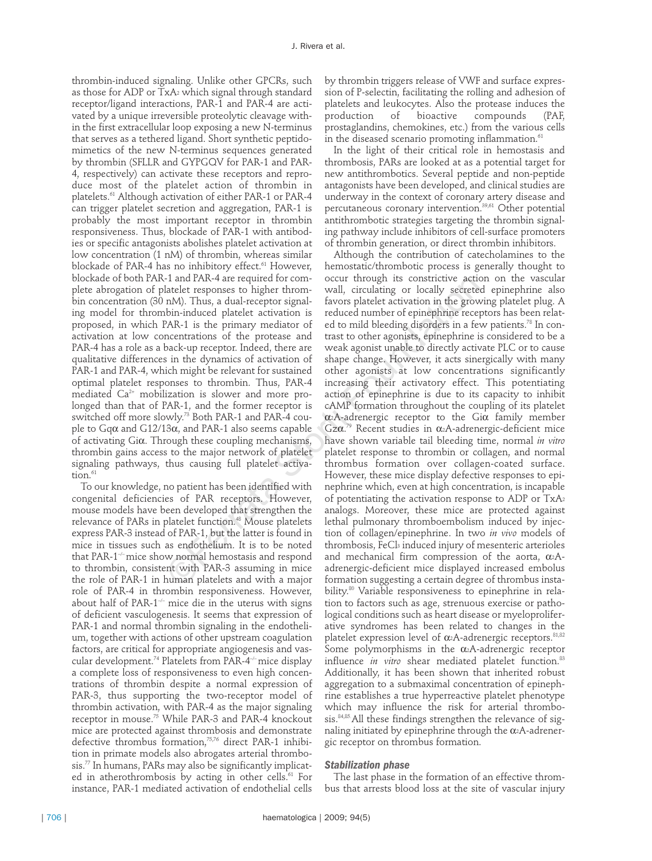thrombin-induced signaling. Unlike other GPCRs, such as those for ADP or TxA2 which signal through standard receptor/ligand interactions, PAR-1 and PAR-4 are activated by a unique irreversible proteolytic cleavage within the first extracellular loop exposing a new N-terminus that serves as a tethered ligand. Short synthetic peptidomimetics of the new N-terminus sequences generated by thrombin (SFLLR and GYPGQV for PAR-1 and PAR-4, respectively) can activate these receptors and reproduce most of the platelet action of thrombin in platelets.61 Although activation of either PAR-1 or PAR-4 can trigger platelet secretion and aggregation, PAR-1 is probably the most important receptor in thrombin responsiveness. Thus, blockade of PAR-1 with antibodies or specific antagonists abolishes platelet activation at low concentration (1 nM) of thrombin, whereas similar blockade of PAR-4 has no inhibitory effect.<sup>61</sup> However, blockade of both PAR-1 and PAR-4 are required for complete abrogation of platelet responses to higher thrombin concentration (30 nM). Thus, a dual-receptor signaling model for thrombin-induced platelet activation is proposed, in which PAR-1 is the primary mediator of activation at low concentrations of the protease and PAR-4 has a role as a back-up receptor. Indeed, there are qualitative differences in the dynamics of activation of PAR-1 and PAR-4, which might be relevant for sustained optimal platelet responses to thrombin. Thus, PAR-4 mediated Ca2+ mobilization is slower and more prolonged than that of PAR-1, and the former receptor is switched off more slowly.<sup>73</sup> Both PAR-1 and PAR-4 couple to Gqα and G12/13α, and PAR-1 also seems capable of activating Giα. Through these coupling mechanisms, thrombin gains access to the major network of platelet signaling pathways, thus causing full platelet activation.<sup>61</sup>

To our knowledge, no patient has been identified with congenital deficiencies of PAR receptors. However, mouse models have been developed that strengthen the relevance of PARs in platelet function.<sup>48</sup> Mouse platelets express PAR-3 instead of PAR-1, but the latter is found in mice in tissues such as endothelium. It is to be noted that PAR-1<sup>---</sup> mice show normal hemostasis and respond to thrombin, consistent with PAR-3 assuming in mice the role of PAR-1 in human platelets and with a major role of PAR-4 in thrombin responsiveness. However, about half of PAR-1 $-$  mice die in the uterus with signs of deficient vasculogenesis. It seems that expression of PAR-1 and normal thrombin signaling in the endothelium, together with actions of other upstream coagulation factors, are critical for appropriate angiogenesis and vascular development.<sup>74</sup> Platelets from PAR-4<sup>-/-</sup> mice display a complete loss of responsiveness to even high concentrations of thrombin despite a normal expression of PAR-3, thus supporting the two-receptor model of thrombin activation, with PAR-4 as the major signaling receptor in mouse.<sup>75</sup> While PAR-3 and PAR-4 knockout mice are protected against thrombosis and demonstrate defective thrombus formation,<sup>75,76</sup> direct PAR-1 inhibition in primate models also abrogates arterial thrombosis.77 In humans, PARs may also be significantly implicated in atherothrombosis by acting in other cells.<sup>61</sup> For instance, PAR-1 mediated activation of endothelial cells

by thrombin triggers release of VWF and surface expression of P-selectin, facilitating the rolling and adhesion of platelets and leukocytes. Also the protease induces the compounds (PAF, prostaglandins, chemokines, etc.) from the various cells in the diseased scenario promoting inflammation.<sup>61</sup>

In the light of their critical role in hemostasis and thrombosis, PARs are looked at as a potential target for new antithrombotics. Several peptide and non-peptide antagonists have been developed, and clinical studies are underway in the context of coronary artery disease and percutaneous coronary intervention.39,61 Other potential antithrombotic strategies targeting the thrombin signaling pathway include inhibitors of cell-surface promoters of thrombin generation, or direct thrombin inhibitors.

Although the contribution of catecholamines to the hemostatic/thrombotic process is generally thought to occur through its constrictive action on the vascular wall, circulating or locally secreted epinephrine also favors platelet activation in the growing platelet plug. A reduced number of epinephrine receptors has been related to mild bleeding disorders in a few patients.<sup>78</sup> In contrast to other agonists, epinephrine is considered to be a weak agonist unable to directly activate PLC or to cause shape change. However, it acts sinergically with many other agonists at low concentrations significantly increasing their activatory effect. This potentiating action of epinephrine is due to its capacity to inhibit cAMP formation throughout the coupling of its platelet  $\alpha$ <sup>2</sup>A-adrenergic receptor to the Gi $\alpha$  family member Gzα.<sup>79</sup> Recent studies in α2A-adrenergic-deficient mice have shown variable tail bleeding time, normal *in vitro* platelet response to thrombin or collagen, and normal thrombus formation over collagen-coated surface. However, these mice display defective responses to epinephrine which, even at high concentration, is incapable of potentiating the activation response to ADP or TxA2 analogs. Moreover, these mice are protected against lethal pulmonary thromboembolism induced by injection of collagen/epinephrine. In two *in vivo* models of thrombosis, FeCl3 induced injury of mesenteric arterioles and mechanical firm compression of the aorta,  $\alpha_2A$ adrenergic-deficient mice displayed increased embolus formation suggesting a certain degree of thrombus instability.<sup>80</sup> Variable responsiveness to epinephrine in relation to factors such as age, strenuous exercise or pathological conditions such as heart disease or myeloproliferative syndromes has been related to changes in the platelet expression level of  $\alpha_2$ A-adrenergic receptors.<sup>81,82</sup> Some polymorphisms in the  $\alpha_2$ A-adrenergic receptor influence *in vitro* shear mediated platelet function.<sup>83</sup> Additionally, it has been shown that inherited robust aggregation to a submaximal concentration of epinephrine establishes a true hyperreactive platelet phenotype which may influence the risk for arterial thrombosis.<sup>84,85</sup>.All these findings strengthen the relevance of signaling initiated by epinephrine through the  $\alpha_2$ A-adrenergic receptor on thrombus formation. -1 and PAR-4 are required for com-<br>occur through its constrative actor<br>attelet responses to higher throm-<br> $\sim$  vall, circulating or locally secretees<br>nM). Thus, a dual-receptor signal-<br>favors platelet activation in the gr

## *Stabilization phase*

The last phase in the formation of an effective thrombus that arrests blood loss at the site of vascular injury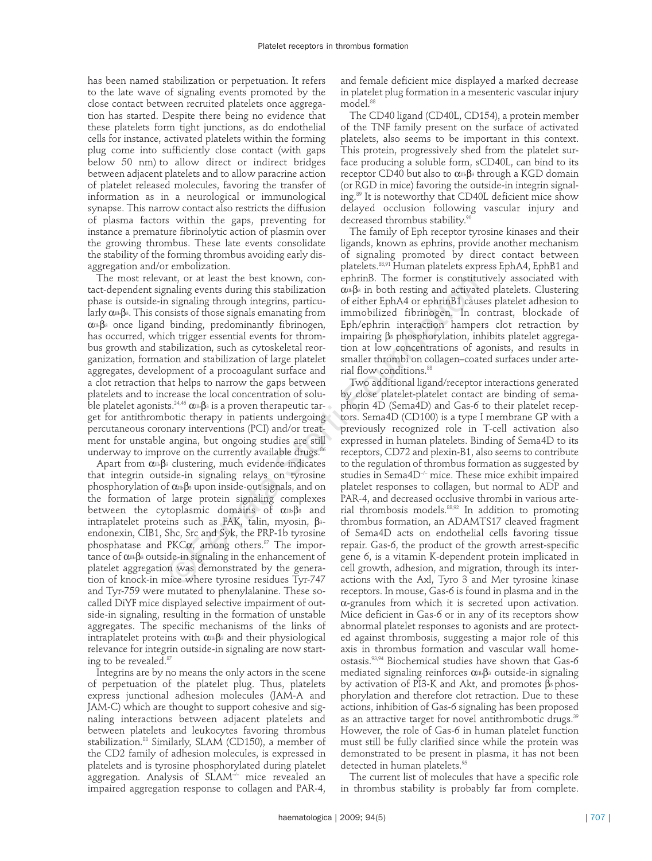has been named stabilization or perpetuation. It refers to the late wave of signaling events promoted by the close contact between recruited platelets once aggregation has started. Despite there being no evidence that these platelets form tight junctions, as do endothelial cells for instance, activated platelets within the forming plug come into sufficiently close contact (with gaps below 50 nm) to allow direct or indirect bridges between adjacent platelets and to allow paracrine action of platelet released molecules, favoring the transfer of information as in a neurological or immunological synapse. This narrow contact also restricts the diffusion of plasma factors within the gaps, preventing for instance a premature fibrinolytic action of plasmin over the growing thrombus. These late events consolidate the stability of the forming thrombus avoiding early disaggregation and/or embolization.

The most relevant, or at least the best known, contact-dependent signaling events during this stabilization phase is outside-in signaling through integrins, particularly  $\alpha_{\text{IIb}}\beta_3$ . This consists of those signals emanating from α<sub>IIb</sub>β<sub>3</sub> once ligand binding, predominantly fibrinogen, has occurred, which trigger essential events for thrombus growth and stabilization, such as cytoskeletal reorganization, formation and stabilization of large platelet aggregates, development of a procoagulant surface and a clot retraction that helps to narrow the gaps between platelets and to increase the local concentration of soluble platelet agonists.<sup>24,46</sup>  $\alpha$ <sup>16</sup> $\beta$ <sup>3</sup> is a proven therapeutic target for antithrombotic therapy in patients undergoing percutaneous coronary interventions (PCI) and/or treatment for unstable angina, but ongoing studies are still underway to improve on the currently available drugs.<sup>86</sup>

Apart from  $\alpha_{\text{IIb}}\beta_3$  clustering, much evidence indicates that integrin outside-in signaling relays on tyrosine phosphorylation of  $\alpha_{11}$ B<sub>3</sub> upon inside-out signals, and on the formation of large protein signaling complexes between the cytoplasmic domains of  $\alpha_{11b}\beta_3$  and intraplatelet proteins such as FAK, talin, myosin,  $β_3$ endonexin, CIB1, Shc, Src and Syk, the PRP-1b tyrosine phosphatase and PKC $\alpha$ , among others.<sup>87</sup> The importance of  $\alpha_{11} \beta_3$  outside-in signaling in the enhancement of platelet aggregation was demonstrated by the generation of knock-in mice where tyrosine residues Tyr-747 and Tyr-759 were mutated to phenylalanine. These socalled DiYF mice displayed selective impairment of outside-in signaling, resulting in the formation of unstable aggregates. The specific mechanisms of the links of intraplatelet proteins with  $\alpha_{\text{IIb}}\beta_3$  and their physiological relevance for integrin outside-in signaling are now starting to be revealed.<sup>87</sup>

Integrins are by no means the only actors in the scene of perpetuation of the platelet plug. Thus, platelets express junctional adhesion molecules (JAM-A and JAM-C) which are thought to support cohesive and signaling interactions between adjacent platelets and between platelets and leukocytes favoring thrombus stabilization.<sup>88</sup> Similarly, SLAM (CD150), a member of the CD2 family of adhesion molecules, is expressed in platelets and is tyrosine phosphorylated during platelet aggregation. Analysis of  $SLAM^{-/-}$  mice revealed an impaired aggregation response to collagen and PAR-4,

and female deficient mice displayed a marked decrease in platelet plug formation in a mesenteric vascular injury model.<sup>88</sup>

The CD40 ligand (CD40L, CD154), a protein member of the TNF family present on the surface of activated platelets, also seems to be important in this context. This protein, progressively shed from the platelet surface producing a soluble form, sCD40L, can bind to its receptor CD40 but also to  $\alpha$ <sup>π</sup>β<sub>3</sub> through a KGD domain (or RGD in mice) favoring the outside-in integrin signaling.89 It is noteworthy that CD40L deficient mice show delayed occlusion following vascular injury and decreased thrombus stability.<sup>90</sup>

The family of Eph receptor tyrosine kinases and their ligands, known as ephrins, provide another mechanism of signaling promoted by direct contact between platelets.88,91 Human platelets express EphA4, EphB1 and ephrinB. The former is constitutively associated with  $α<sub>II</sub>β<sub>3</sub>$  in both resting and activated platelets. Clustering of either EphA4 or ephrinB1 causes platelet adhesion to immobilized fibrinogen. In contrast, blockade of Eph/ephrin interaction hampers clot retraction by impairing  $β_3$  phosphorylation, inhibits platelet aggregation at low concentrations of agonists, and results in smaller thrombi on collagen–coated surfaces under arterial flow conditions.<sup>88</sup>

Two additional ligand/receptor interactions generated by close platelet-platelet contact are binding of semaphorin 4D (Sema4D) and Gas-6 to their platelet receptors. Sema4D (CD100) is a type I membrane GP with a previously recognized role in T-cell activation also expressed in human platelets. Binding of Sema4D to its receptors, CD72 and plexin-B1, also seems to contribute to the regulation of thrombus formation as suggested by studies in Sema4D<sup>-/-</sup> mice. These mice exhibit impaired platelet responses to collagen, but normal to ADP and PAR-4, and decreased occlusive thrombi in various arterial thrombosis models.88,92 In addition to promoting thrombus formation, an ADAMTS17 cleaved fragment of Sema4D acts on endothelial cells favoring tissue repair. Gas-6, the product of the growth arrest-specific gene 6, is a vitamin K-dependent protein implicated in cell growth, adhesion, and migration, through its interactions with the Axl, Tyro 3 and Mer tyrosine kinase receptors. In mouse, Gas-6 is found in plasma and in the α-granules from which it is secreted upon activation. Mice deficient in Gas-6 or in any of its receptors show abnormal platelet responses to agonists and are protected against thrombosis, suggesting a major role of this axis in thrombus formation and vascular wall homeostasis.93,94 Biochemical studies have shown that Gas-6 mediated signaling reinforces  $\alpha \mathbb{I}$ <sub>8</sub> outside-in signaling by activation of PI3-K and Akt, and promotes  $β_3$  phosphorylation and therefore clot retraction. Due to these actions, inhibition of Gas-6 signaling has been proposed as an attractive target for novel antithrombotic drugs.<sup>39</sup> However, the role of Gas-6 in human platelet function must still be fully clarified since while the protein was demonstrated to be present in plasma, it has not been detected in human platelets.95 and, or at least the best known, con-<br>phinB. In e forms in the cast of the permet is constituted in this constanting events during this is stabilization comes in the better EphA4 or ephrinB1 causities of those signals ema

The current list of molecules that have a specific role in thrombus stability is probably far from complete.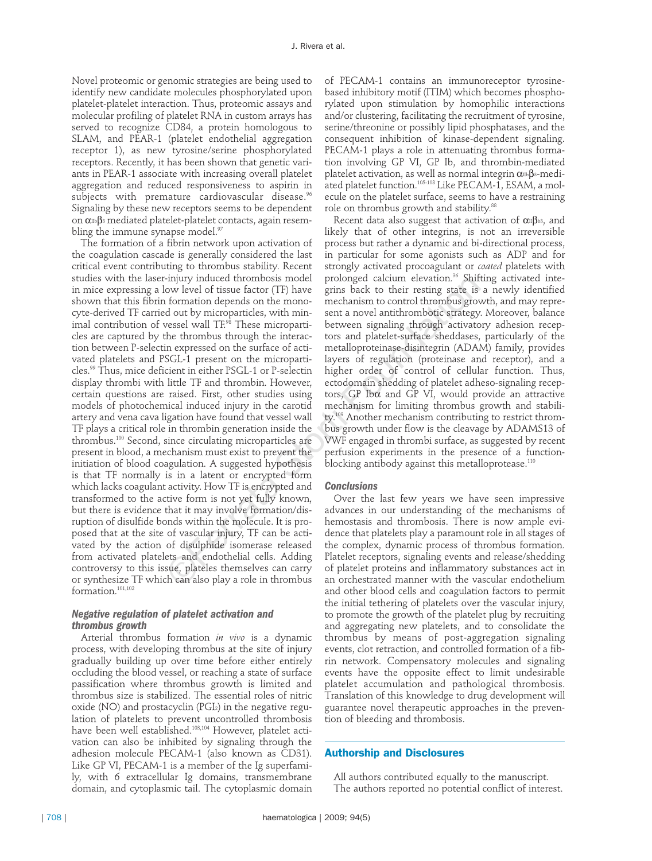Novel proteomic or genomic strategies are being used to identify new candidate molecules phosphorylated upon platelet-platelet interaction. Thus, proteomic assays and molecular profiling of platelet RNA in custom arrays has served to recognize CD84, a protein homologous to SLAM, and PEAR-1 (platelet endothelial aggregation receptor 1), as new tyrosine/serine phosphorylated receptors. Recently, it has been shown that genetic variants in PEAR-1 associate with increasing overall platelet aggregation and reduced responsiveness to aspirin in subjects with premature cardiovascular disease.<sup>96</sup> Signaling by these new receptors seems to be dependent on α<sub>IIb</sub>β<sub>3</sub> mediated platelet-platelet contacts, again resembling the immune synapse model.<sup>97</sup>

The formation of a fibrin network upon activation of the coagulation cascade is generally considered the last critical event contributing to thrombus stability. Recent studies with the laser-injury induced thrombosis model in mice expressing a low level of tissue factor (TF) have shown that this fibrin formation depends on the monocyte-derived TF carried out by microparticles, with minimal contribution of vessel wall TF.<sup>98</sup> These microparticles are captured by the thrombus through the interaction between P-selectin expressed on the surface of activated platelets and PSGL-1 present on the microparticles.99 Thus, mice deficient in either PSGL-1 or P-selectin display thrombi with little TF and thrombin. However, certain questions are raised. First, other studies using models of photochemical induced injury in the carotid artery and vena cava ligation have found that vessel wall TF plays a critical role in thrombin generation inside the thrombus.100 Second, since circulating microparticles are present in blood, a mechanism must exist to prevent the initiation of blood coagulation. A suggested hypothesis is that TF normally is in a latent or encrypted form which lacks coagulant activity. How TF is encrypted and transformed to the active form is not yet fully known, but there is evidence that it may involve formation/disruption of disulfide bonds within the molecule. It is proposed that at the site of vascular injury, TF can be activated by the action of disulphide isomerase released from activated platelets and endothelial cells. Adding controversy to this issue, plateles themselves can carry or synthesize TF which can also play a role in thrombus  $formation.<sup>101,102</sup>$ -injury induced thrombosis model<br>prolonged calcum elevation.<sup>-5</sup> pluring thrombosis model<br>prolonged calcum elevation.<sup>3</sup> pluring the storties formation depends on the mono-<br>mechanism to control thrombosi grows dout by mic

### *Negative regulation of platelet activation and thrombus growth*

Arterial thrombus formation *in vivo* is a dynamic process, with developing thrombus at the site of injury gradually building up over time before either entirely occluding the blood vessel, or reaching a state of surface passification where thrombus growth is limited and thrombus size is stabilized. The essential roles of nitric oxide (NO) and prostacyclin (PGI2) in the negative regulation of platelets to prevent uncontrolled thrombosis have been well established.103,104 However, platelet activation can also be inhibited by signaling through the adhesion molecule PECAM-1 (also known as CD31). Like GP VI, PECAM-1 is a member of the Ig superfamily, with 6 extracellular Ig domains, transmembrane domain, and cytoplasmic tail. The cytoplasmic domain

of PECAM-1 contains an immunoreceptor tyrosinebased inhibitory motif (ITIM) which becomes phosphorylated upon stimulation by homophilic interactions and/or clustering, facilitating the recruitment of tyrosine, serine/threonine or possibly lipid phosphatases, and the consequent inhibition of kinase-dependent signaling. PECAM-1 plays a role in attenuating thrombus formation involving GP VI, GP Ib, and thrombin-mediated platelet activation, as well as normal integrin  $\alpha \text{m} \beta$ 3-mediated platelet function.<sup>105-108</sup> Like PECAM-1, ESAM, a molecule on the platelet surface, seems to have a restraining role on thrombus growth and stability.<sup>88</sup>

Recent data also suggest that activation of  $\alpha \beta$ <sup>b3</sup>, and likely that of other integrins, is not an irreversible process but rather a dynamic and bi-directional process, in particular for some agonists such as ADP and for strongly activated procoagulant or *coated* platelets with prolonged calcium elevation.<sup>36</sup> Shifting activated integrins back to their resting state is a newly identified mechanism to control thrombus growth, and may represent a novel antithrombotic strategy. Moreover, balance between signaling through activatory adhesion receptors and platelet-surface sheddases, particularly of the metalloproteinase-disintegrin (ADAM) family, provides layers of regulation (proteinase and receptor), and a higher order of control of cellular function. Thus, ectodomain shedding of platelet adheso-signaling receptors, GP Ibα and GP VI, would provide an attractive mechanism for limiting thrombus growth and stability. <sup>109</sup> Another mechanism contributing to restrict thrombus growth under flow is the cleavage by ADAMS13 of VWF engaged in thrombi surface, as suggested by recent perfusion experiments in the presence of a functionblocking antibody against this metalloprotease.<sup>110</sup>

#### *Conclusions*

Over the last few years we have seen impressive advances in our understanding of the mechanisms of hemostasis and thrombosis. There is now ample evidence that platelets play a paramount role in all stages of the complex, dynamic process of thrombus formation. Platelet receptors, signaling events and release/shedding of platelet proteins and inflammatory substances act in an orchestrated manner with the vascular endothelium and other blood cells and coagulation factors to permit the initial tethering of platelets over the vascular injury, to promote the growth of the platelet plug by recruiting and aggregating new platelets, and to consolidate the thrombus by means of post-aggregation signaling events, clot retraction, and controlled formation of a fibrin network. Compensatory molecules and signaling events have the opposite effect to limit undesirable platelet accumulation and pathological thrombosis. Translation of this knowledge to drug development will guarantee novel therapeutic approaches in the prevention of bleeding and thrombosis.

## **Authorship and Disclosures**

All authors contributed equally to the manuscript. The authors reported no potential conflict of interest.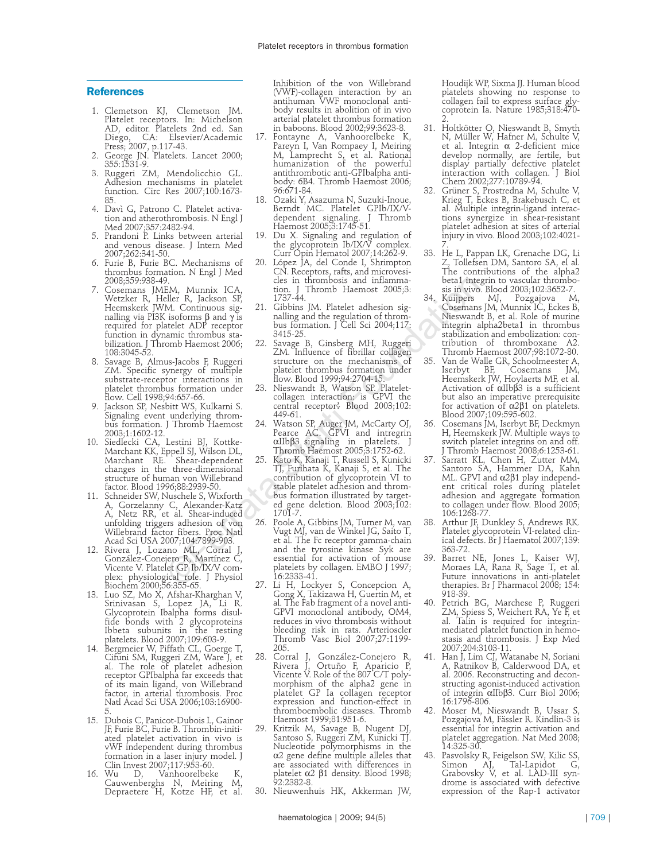#### **References**

- 1. Clemetson KJ, Clemetson JM. Platelet receptors. In: Michelson AD, editor. Platelets 2nd ed. San Diego, CA: Elsevier/Academic Press; 2007, p.117-43.
- 2. George JN. Platelets. Lancet 2000; 355:1531-9.
- 3. Ruggeri ZM, Mendolicchio GL. Adhesion mechanisms in platelet function. Circ Res 2007;100:1673- 85.
- 4. Davì G, Patrono C. Platelet activation and atherothrombosis. N Engl J Med 2007;357:2482-94.
- 5. Prandoni P. Links between arterial and venous disease. J Intern Med 2007;262:341-50.
- 6. Furie B, Furie BC. Mechanisms of thrombus formation. N Engl J Med 2008;359:938-49.
- 7. Cosemans JMEM, Munnix ICA, Wetzker R, Heller R, Jackson SP, Heemskerk JWM. Continuous signalling via PI3K isoforms β and γ is required for platelet ADP receptor function in dynamic thrombus stabilization. J Thromb Haemost 2006; 108:3045-52.
- 8. Savage B, Almus-Jacobs F, Ruggeri ZM. Specific synergy of multiple substrate-receptor interactions in platelet thrombus formation under flow. Cell 1998;94:657-66.
- Jackson SP, Nesbitt WS, Kulkarni S. Signaling event underlying thrombus formation. J Thromb Haemost 2003;1:1602-12.
- 10. Siedlecki CA, Lestini BJ, Kottke-Marchant KK, Eppell SJ, Wilson DL, Marchant RE. Shear-dependent changes in the three-dimensional structure of human von Willebrand factor. Blood 1996;88:2939-50.
- 11. Schneider SW, Nuschele S, Wixforth A, Gorzelanny C, Alexander-Katz A, Netz RR, et al. Shear-induced unfolding triggers adhesion of von Willebrand factor fibers. Proc Natl Acad Sci USA 2007;104:7899-903.
- 12. Rivera J, Lozano ML, Corral J, González-Conejero R, Martínez C, Vicente V. Platelet GP Ib/IX/V complex: physiological role. J Physiol Biochem 2000;56:355-65.
- 13. Luo SZ, Mo X, Afshar-Kharghan V, Srinivasan S, Lopez JA, Li R. Glycoprotein Ibalpha forms disulfide bonds with 2 glycoproteins Ibbeta subunits in the resting platelets. Blood 2007;109:603-9.
- 14. Bergmeier W, Piffath CL, Goerge T, Cifuni SM, Ruggeri ZM, Ware J, et al. The role of platelet adhesion receptor GPIbalpha far exceeds that of its main ligand, von Willebrand factor, in arterial thrombosis. Proc Natl Acad Sci USA 2006;103:16900- 5.
- 15. Dubois C, Panicot-Dubois L, Gainor JF, Furie BC, Furie B. Thrombin-initiated platelet activation in vivo is vWF independent during thrombus formation in a laser injury model. J Clin Invest 2007;117:953-60.<br>16. Wu D, Vanhoorelbeke
- 16. Wu D, Vanhoorelbeke K, Cauwenberghs N, Meiring M, Depraetere H, Kotze HF, et al.

Inhibition of the von Willebrand (VWF)-collagen interaction by an antihuman VWF monoclonal antibody results in abolition of in vivo arterial platelet thrombus formation in baboons. Blood 2002;99:3623-8.

- 17. Fontayne A, Vanhoorelbeke K, Pareyn I, Van Rompaey I, Meiring M, Lamprecht S, et al. Rational humanization of the powerful antithrombotic anti-GPIbalpha antibody: 6B4. Thromb Haemost 2006; 96:671-84.
- 18. Ozaki Y, Asazuma N, Suzuki-Inoue, Berndt MC. Platelet GPIb/IX/V-<br>dependent signaling. J Thromb dependent signaling. J Thromb Haemost 2005;3:1745-51.
- 19. Du X. Signaling and regulation of the glycoprotein Ib/IX/V complex. Curr Opin Hematol 2007;14:262-9.
- López JA, del Conde I, Shrimpton CN. Receptors, rafts, and microvesicles in thrombosis and inflammation. J Thromb Haemost 2005;3: 1737-44.
- 21. Gibbins JM. Platelet adhesion signalling and the regulation of thrombus formation. J Cell Sci 2004;117: 3415-25.
- 22. Savage B, Ginsberg MH, Ruggeri ZM. Influence of fibrillar collagen structure on the mechanisms of platelet thrombus formation under flow. Blood 1999;94:2704-15.
- 23. Nieswandt B, Watson SP. Plateletcollagen interaction: is GPVI the central receptor? Blood 2003;102: 449-61.
- 24. Watson SP, Auger JM, McCarty OJ, Pearce AC. GPVI and intregrin αIIbβ3 signaling in platelets. J Thromb Haemost 2005;3:1752-62.
- 25. Kato K, Kanaji T, Russell S, Kunicki TJ, Furihata K, Kanaji S, et al. The contribution of glycoprotein VI to stable platelet adhesion and thrombus formation illustrated by targeted gene deletion. Blood 2003;102: 1701-7.
- 26. Poole A, Gibbins JM, Turner M, van Vugt MJ, van de Winkel JG, Saito T, et al. The Fc receptor gamma-chain and the tyrosine kinase Syk are essential for activation of mouse platelets by collagen. EMBO J 1997; 16:2333-41. ).<br>
H.M, Munnix ICA, tion. I Thrombosis and inflamma- beta interests and internal isoforms parallel r. R, lackson SP<br>
M. Continuous sig. 1737-44.<br>
M. Continuous sig. 21. Gibbins JM. Platelet achesion sig. 34. Kuijpers<br>
M.
	- Li H, Lockyer S, Concepcion A, Gong X, Takizawa H, Guertin M, et al. The Fab fragment of a novel anti-GPVI monoclonal antibody, OM4, reduces in vivo thrombosis without bleeding risk in rats. Arterioscler Thromb Vasc Biol 2007;27:1199- 205.
	- 28. Corral J, González-Conejero R, Rivera J, Ortuño F, Aparicio P, Vicente V. Role of the 807 C/T polymorphism of the alpha2 gene in platelet GP Ia collagen receptor expression and function-effect in thromboembolic diseases. Thromb Haemost 1999;81:951-6.
	- 29. Kritzik M, Savage B, Nugent DJ, Santoso S, Ruggeri ZM, Kunicki TJ. Nucleotide polymorphisms in the α2 gene define multiple alleles that are associated with differences in platelet α2 β1 density. Blood 1998; 92:2382-8.
	- 30. Nieuwenhuis HK, Akkerman JW,

Houdijk WP, Sixma JJ. Human blood platelets showing no response to collagen fail to express surface glycoprotein Ia. Nature 1985;318:470- 2.

- 31. Holtkötter O, Nieswandt B, Smyth N, Müller W, Hafner M, Schulte V, et al. Integrin α 2-deficient mice develop normally, are fertile, but display partially defective platelet interaction with collagen. J Biol Chem 2002;277:10789-94.
- 32. Grüner S, Prostredna M, Schulte V, Krieg T, Eckes B, Brakebusch C, et al. Multiple integrin-ligand interactions synergize in shear-resistant platelet adhesion at sites of arterial injury in vivo. Blood 2003;102:4021-
- 7. 33. He L, Pappan LK, Grenache DG, Li Z, Tollefsen DM, Santoro SA, el al. The contributions of the alpha2 beta1 integrin to vascular thrombosis in vivo. Blood 2003;102:3652-7.
- 34. Kuijpers MJ, Pozgajova M, Cosemans JM, Munnix IC, Eckes B, Nieswandt B, et al. Role of murine integrin alpha2beta1 in thrombus stabilization and embolization: contribution of thromboxane A2. Thromb Haemost 2007;98:1072-80.
- 35. Van de Walle GR, Schoolmeester A, Iserbyt BF, Cosemans JM, Heemskerk JW, Hoylaerts MF, et al. Activation of αIIbβ3 is a sufficient but also an imperative prerequisite for activation of α2β1 on platelets. Blood 2007;109:595-602.
- 36. Cosemans JM, Iserbyt BF, Deckmyn H, Heemskerk JW. Multiple ways to switch platelet integrins on and off. J Thromb Haemost 2008;6:1253-61.
- 37. Sarratt KL, Chen H, Zutter MM, Santoro SA, Hammer DA, Kahn ML. GPVI and α2β1 play independent critical roles during platelet adhesion and aggregate formation to collagen under flow. Blood 2005; 106:1268-77.
- 38. Arthur JF, Dunkley S, Andrews RK. Platelet glycoprotein VI-related clinical defects. Br J Haematol 2007;139: 363-72.
- 39. Barret NE, Jones L, Kaiser WJ, Moraes LA, Rana R, Sage T, et al. Future innovations in anti-platelet therapies. Br J Pharmacol 2008; 154: 918-39.
- 40. Petrich BG, Marchese P, Ruggeri ZM, Spiess S, Weichert RA, Ye F, et al. Talin is required for integrinmediated platelet function in hemostasis and thrombosis. J Exp Med 2007;204:3103-11.
- 41. Han J, Lim CJ, Watanabe N, Soriani A, Ratnikov B, Calderwood DA, et al. 2006. Reconstructing and deconstructing agonist-induced activation of integrin αIIbβ3. Curr Biol 2006; 16:1796-806.
- Moser M, Nieswandt B, Ussar S, Pozgajova M, Fässler R. Kindlin-3 is essential for integrin activation and platelet aggregation. Nat Med 2008; 14:325-30.
- 43. Pasvolsky R, Feigelson SW, Kilic SS,<br>Simon AJ, Tal-Lapidot G, Simon AJ, Tal-Lapidot G, Grabovsky V, et al. LAD-III syndrome is associated with defective expression of the Rap-1 activator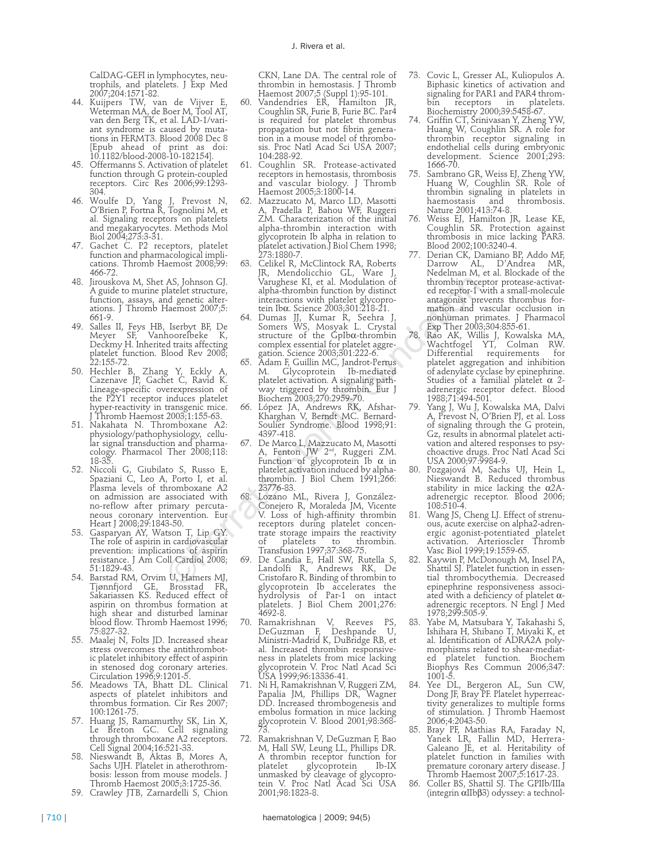CalDAG-GEFI in lymphocytes, neutrophils, and platelets. J Exp Med 2007;204:1571-82.

- 44. Kuijpers TW, van de Vijver E, Weterman MA, de Boer M, Tool AT, van den Berg TK, et al. LAD-1/variant syndrome is caused by mutations in FERMT3. Blood 2008 Dec 8 [Epub ahead of print as doi: 10.1182/blood-2008-10-182154].
- 45. Offermanns S. Activation of platelet function through G protein-coupled receptors. Circ Res 2006;99:1293- 304.
- 46. Woulfe D, Yang J, Prevost N, O'Brien P, Fortna R, Tognolini M, et al. Signaling receptors on platelets and megakaryocytes. Methods Mol Biol 2004;273:3-31.
- 47. Gachet C. P2 receptors, platelet function and pharmacological implications. Thromb Haemost 2008;99: 466-72.
- 48. Jirouskova M, Shet AS, Johnson GJ. A guide to murine platelet structure, function, assays, and genetic alterations. J Thromb Haemost 2007;5: 661-9.
- 49. Salles II, Feys HB, Iserbyt BF, De Meyer SF, Vanhoorelbeke K, Deckmy H. Inherited traits affecting platelet function. Blood Rev 2008; 22:155-72.
- 50. Hechler B, Zhang Y, Eckly A, Cazenave JP, Gachet C, Ravid K. Lineage-specific overexpression of the P2Y1 receptor induces platelet hyper-reactivity in transgenic mice. J Thromb Haemost 2003;1:155-63.
- 51. Nakahata N. Thromboxane A2: physiology/pathophysiology, cellular signal transduction and pharmacology. Pharmacol Ther 2008;118: 18-35.
- 52. Niccoli G, Giubilato S, Russo E, Spaziani C, Leo A, Porto I, et al. Plasma levels of thromboxane A2 on admission are associated with no-reflow after primary percutaneous coronary intervention. Eur Heart J 2008;29:1843-50.
- 53. Gasparyan AY, Watson T, Lip GY. The role of aspirin in cardiovascular prevention: implications of aspirin resistance. J Am Coll Cardiol 2008; 51:1829-43.
- 54. Barstad RM, Orvim U, Hamers MJ, Tjønnfjord GE, Brosstad FR, Sakariassen KS. Reduced effect of aspirin on thrombus formation at high shear and disturbed laminar blood flow. Thromb Haemost 1996; 75:827-32.
- 55. Maalej N, Folts JD. Increased shear stress overcomes the antithrombotic platelet inhibitory effect of aspirin in stenosed dog coronary arteries. Circulation 1996;9:1201-5.
- 56. Meadows TA, Bhatt DL. Clinical aspects of platelet inhibitors and thrombus formation. Cir Res 2007; 100:1261-75.
- 57. Huang JS, Ramamurthy SK, Lin X, Le Breton GC. Cell signaling through thromboxane A2 receptors.<br>Cell Signal 2004;16:521-33.
- 58. Nieswandt B, Áktas B, Mores A, Sachs UJH. Platelet in atherothrombosis: lesson from mouse models. J Thromb Haemost 2005;3:1725-36.
- 59. Crawley JTB, Zarnardelli S, Chion

CKN, Lane DA. The central role of thrombin in hemostasis. J Thromb Haemost 2007;5 (Suppl 1):95-101.

- 60. Vandendries ER, Hamilton JR, Coughlin SR, Furie B, Furie BC. Par4 is required for platelet thrombus propagation but not fibrin generation in a mouse model of thrombosis. Proc Natl Acad Sci USA 2007; 104:288-92.
- 61. Coughlin SR. Protease-activated receptors in hemostasis, thrombosis and vascular biology. J Thromb Haemost 2005;3:1800-14.
- 62. Mazzucato M, Marco LD, Masotti A, Pradella P, Bahou WF, Ruggeri ZM. Characterization of the initial alpha-thrombin interaction with glycoprotein Ib alpha in relation to platelet activation.J Biol Chem 1998; 273:1880-7.
- 63. Celikel R, McClintock RA, Roberts JR, Mendolicchio GL, Ware J, Varughese KI, et al. Modulation of alpha-thrombin function by distinct interactions with platelet glycopro-tein Ibα. Science 2003;301:218-21.
- 64. Dumas JJ, Kumar R, Seehra J, Somers WS, Mosyak L. Crystal structure of the GpIbα-thrombin complex essential for platelet aggregation. Science 2003;301:222-6.
- 65. Adam F, Guillin MC, Jandrot-Perrus M. Glycoprotein Ib-mediated platelet activation. A signaling pathway triggered by thrombin. Biochem 2003;270:2959-70.
- 66. López JA, Andrews RK, Afshar-Kharghan V, Berndt MC. Bernard-Soulier Syndrome. Blood 1998;91: 4397-418.
- 67. De Marco L, Mazzucato M, Masotti A, Fenton JW 2nd, Ruggeri ZM. Function of glycoprotein Ib α in platelet activation induced by alphathrombin. J Biol Chem 1991;266: 23776-83.
- 68. Lozano ML, Rivera J, González-Conejero R, Moraleda JM, Vicente V. Loss of high-affinity thrombin receptors during platelet concentrate storage impairs the reactivity of platelets to thrombin. Transfusion 1997;37:368-75. AS, Johnson GJ. Varuelesse KI, et al. Modulation of thrombin receives the shaded state interactions with platelet give<br>operation of the shaded state interactions with platelet give<br>operation and genetic alternations with
	- 69. De Candia E, Hall SW, Rutella S, Landolfi R, Andrews RK, De Cristofaro R. Binding of thrombin to glycoprotein Ib accelerates the hydrolysis of Par-1 on intact platelets. J Biol Chem 2001;276: 4692-8.
	- 70. Ramakrishnan V, Reeves PS, DeGuzman F, Deshpande U, Ministri-Madrid K, DuBridge RB, et al. Increased thrombin responsiveness in platelets from mice lacking glycoprotein V. Proc Natl Acad Sci USA 1999;96:13336-41.
	- 71. Ni H, Ramakrishnan V, Ruggeri ZM, Papalia JM, Phillips DR, Wagner DD. Increased thrombogenesis and embolus formation in mice lacking glycoprotein V. Blood 2001;98:368- 73.
	- 72. Ramakrishnan V, DeGuzman F, Bao M, Hall SW, Leung LL, Phillips DR. A thrombin receptor function for platelet glycoprotein Ib-IX unmasked by cleavage of glycopro- tein V. Proc Natl Acad Sci USA 2001;98:1823-8.
- 73. Covic L, Gresser AL, Kuliopulos A. Biphasic kinetics of activation and signaling for PAR1 and PAR4 thrombin receptors in platelets. Biochemistry 2000;39:5458-67.
- 74. Griffin CT, Srinivasan Y, Zheng YW, Huang W, Coughlin SR. A role for thrombin receptor signaling in endothelial cells during embryonic development. Science 2001;293: 1666-70.
- 75. Sambrano GR, Weiss EJ, Zheng YW, Huang W, Coughlin SR. Role of thrombin signaling in platelets in haemostasis and thrombosis. nature 11 syntamig.<br>haemostasis and<br>Nature 2001;413:74-8.
- 76. Weiss EJ, Hamilton JR, Lease KE, Coughlin SR. Protection against thrombosis in mice lacking PAR3. Blood 2002;100:3240-4.
- 77. Derian CK, Damiano BP, Addo MF, Darrow AL, D'Andrea MR, Nedelman M, et al. Blockade of the thrombin receptor protease-activated receptor-1 with a small-molecule antagonist prevents thrombus formation and vascular occlusion in nonhuman primates. J Pharmacol Exp Ther 2003;304:855-61.
- 78. Rao AK, Willis J, Kowalska MA, Wachtfogel YT, Colman RW. Differential requirements for platelet aggregation and inhibition of adenylate cyclase by epinephrine. Studies of a familial platelet α 2 adrenergic receptor defect. Blood 1988;71:494-501.
- 79. Yang J, Wu J, Kowalska MA, Dalvi A, Prevost N, O'Brien PJ, et al. Loss of signaling through the G protein, Gz, results in abnormal platelet activation and altered responses to psychoactive drugs. Proc Natl Acad Sci USA 2000;97:9984-9.
- 80. Pozgajová M, Sachs UJ, Hein L, Nieswandt B. Reduced thrombus stability in mice lacking the  $\alpha$ 2Aadrenergic receptor. Blood 2006; 108:510-4.
- 81. Wang JS, Cheng LJ. Effect of strenuous, acute exercise on alpha2-adrenergic agonist-potentiated platelet activation. Arterioscler Thromb Vasc Biol 1999;19:1559-65.
- Kaywin P, McDonough M, Insel PA, Shattil SJ. Platelet function in essential thrombocythemia. Decreased epinephrine responsiveness associated with a deficiency of platelet  $\alpha$ adrenergic receptors. N Engl J Med 1978;299:505-9.
- 83. Yabe M, Matsubara Y, Takahashi S, Ishihara H, Shibano T, Miyaki K, et al. Identification of ADRA2A polymorphisms related to shear-mediated platelet function. Biochem Biophys Res Commun 2006;347: 1001-5.
- 84. Yee DL, Bergeron AL, Sun CW, Dong JF, Bray PF. Platelet hyperreactivity generalizes to multiple forms of stimulation. J Thromb Haemost 2006;4:2043-50.
- 85. Bray PF, Mathias RA, Faraday N, Yanek LR, Fallin MD, Herrera-Galeano JE, et al. Heritability of platelet function in families with premature coronary artery disease. J Thromb Haemost 2007;5:1617-23.
- Coller BS, Shattil SJ. The GPIIb/IIIa (integrin αIIbβ3) odyssey: a technol-